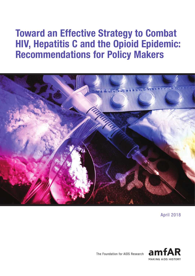# Toward an Effective Strategy to Combat HIV, Hepatitis C and the Opioid Epidemic: **Recommendations for Policy Makers**



April 2018



The Foundation for AIDS Research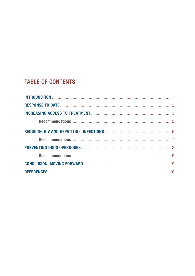# **TABLE OF CONTENTS**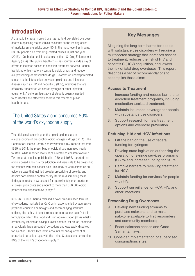# Introduction

A dramatic increase in opioid use has led to drug-related overdose deaths surpassing motor vehicle accidents as the leading cause of mortality among adults under 50. In the most recent estimates, 63,632 people died from drug-related causes in just one year (2016).<sup>1</sup> Dubbed an opioid epidemic by the U.S. Drug Enforcement Agency (DEA),<sup>2</sup> this public health crisis has spurred a wide array of efforts to increase access to addiction treatment services, reduce trafficking of high-potency synthetic opioid drugs, and reduce overprescribing of prescription drugs. However, an underappreciated concern is the intersection between opioid use and infectious diseases such as HIV and hepatitis C (HCV), infections that are efficiently transmitted via shared syringes or other injection equipment. A coherent legislative strategy is urgently needed to holistically and effectively address this trifecta of public health threats.

### The United States alone consumes 80% of the world's oxycodone supply.

The etiological beginnings of the opioid epidemic are in overprescribing of prescription opioid analgesic drugs (Fig. 1). The Centers for Disease Control and Prevention (CDC) reports that from 1999 to 2014, the prescribing of opioid drugs increased nearly fourfold, while reported levels of pain remained constant overall.<sup>3</sup> Two separate studies, published in 1980 and 1986, reported that opioids posed a low risk for addiction and were safe to be prescribed for patients with non-cancer pain. This body of work served as an evidence base that justified broader prescribing of opioids, and despite considerable contemporary literature discrediting these findings, narcotics now account for approximately one-quarter of all prescription costs and amount to more than 650,000 opioid prescriptions dispensed every day.4,5

In 1996, Purdue Pharma released a novel time-released formula of oxycodone, marketed as OxyContin, accompanied by aggressive physician education campaigns and accompanying literature outlining the safety of long-term use for non-cancer pain. Yet this formulation, which the Food and Drug Administration (FDA) initially erroneously labeled as having a lower potential for abuse, contained an atypically large amount of oxycodone and was easily dissolved for injection. Today, OxyContin accounts for one-quarter of all prescribed narcotic drugs, with the United States alone consuming 80% of the world's oxycodone supply.<sup>6,7</sup>

### Key Messages

Mitigating the long-term harms for people with substance use disorders will require a multifaceted strategy that increases access to treatment, reduces the risk of HIV and hepatitis C (HCV) acquisition, and lowers the risk of fatal drug overdoses. This report describes a set of recommendations to accomplish these aims:

#### Access to Treatment

- 1. Increase funding and reduce barriers to addiction treatment programs, including medication-assisted treatment;
- 2. Maintain insurance coverage for people with substance use disorders;
- 3. Support research for new treatment options and overdose prevention.

#### Reducing HIV and HCV Infections

- 4. Lift the ban on the use of federal funding for syringes;
- 5. Develop state legislation authorizing the operation of syringe services programs (SSPs) and increase funding for SSPs;
- 6. Remove barriers to receiving treatment for HCV;
- 7. Maintain funding for services for people with HIV;
- 8. Support surveillance for HCV, HIV, and other infections.

#### Preventing Drug Overdoses

- 9. Develop new funding streams to purchase naloxone and to make naloxone available to first responders and community members;
- 10. Enact naloxone access and Good Samaritan laws;
- 11. Consider implementation of supervised consumptions sites.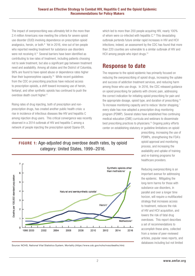The impact of overprescribing was ultimately felt in the more than 2.4 million Americans now meeting the criteria for severe opioid use disorder (OUD) involving dependence on prescription opioid analgesics, heroin, or both.<sup>8</sup> Yet in 2016, nine out of ten people who reported needing treatment for substance use disorders were not receiving it.<sup>9</sup> Several barriers have been identified as contributing to low rates of treatment, including patients choosing not to seek treatment, but also a significant gap between treatment need and availability. Among all states and the District of Columbia, 96% are found to have opioid abuse or dependence rates higher than their buprenorphine capacity.<sup>10</sup> While recent guidelines from the CDC on prescribing practices have reduced access to prescription opioids, a shift toward increasing use of heroin, fentanyl, and other synthetic opioids has continued to push the overdose death count higher.<sup>11</sup>

Rising rates of drug injecting, both of prescription and nonprescription drugs, has created another public health crisis: a rise in incidence of infectious diseases like HIV and hepatitis C among injection drug users. This critical convergence was recently observed in a 2014 outbreak of HIV and hepatitis C among a network of people injecting the prescription opioid Opana-ER,

which led to more than 200 people acquiring HIV, nearly 100% of whom were co-infected with hepatitis C.12 This devastating outbreak portends future similar rapid increases in HIV and HCV infections; indeed, an assessment by the CDC has found that more than 220 counties are vulnerable to a similar outbreak of HIV and HCV among people who inject drugs.<sup>13</sup>

### Response to date

The response to the opioid epidemic has primarily focused on reducing the overprescribing of opioid drugs, increasing the uptake and success of addiction treatment services, and reducing harm among those who use drugs. In 2016, the CDC released guidance on opioid prescribing for patients with chronic pain, addressing the correct indication for initiating opioid prescribing for pain and the appropriate dosage, opioid type, and duration of prescribing.<sup>14</sup> To increase monitoring capacity and to reduce 'doctor shopping,' every state has now adopted a prescription drug monitoring program (PDMP). Several states have established free continuing medical education (CME) curricula and webinars to disseminate best prescribing practices to physicians.15 Ongoing policy efforts center on establishing statutory or guideline limitations on opioid

FIGURE 1: Age-adjusted drug overdose death rates, by opioid category: United States, 1999−2016.



Source: NCHS, National Vital Statistics System, Mortality (https://www.cdc.gov/nchs/nvss/deaths.htm)

prescribing, increasing the use of PDMPs, strengthening the FDA's opioid approval and monitoring process, and increasing the availability and uptake of training and re-training programs for healthcare providers.

Reducing overprescribing is an important avenue for addressing the epidemic. Mitigating the long-term harms for those with substance use disorders, in parallel and over a longer time horizon, will require a multifaceted strategy that increases access to treatment, reduces the risk of HIV and HCV acquisition, and lowers the risk of fatal drug overdoses. This report describes a set of recommendations to accomplish these aims, collected from a review of peer-reviewed articles, popular news reports, and databases including but not limited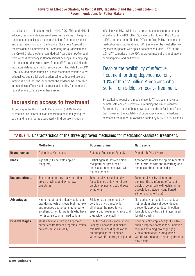to the National Institutes for Health (NIH), CDC, FDA, and HHS. In addition, recommendations are drawn from a series of blueprints, roadmaps, and collected recommendations from organizations and associations including the National Governors Association, the President's Commission on Combating Drug Addiction and the Opioid Crisis, the American Medical Association (AMA), and from witness testimony in Congressional hearings. In compiling this document, data were drawn from amfAR's Opioid & Health Indicators database, a public resource compiling data from CDC, SAMHSA, and other sources.<sup>16</sup> These recommendations are not exhaustive, but are tailored to addressing both opioid use and infectious diseases, chosen for both the evidence base on each intervention's efficacy and the reasonable ability for state and federal actors to legislate in these areas.

# Increasing access to treatment

According to the World Health Organization (WHO), treating substance use disorders is an important step in mitigating the social and health harms associated with drug use, including

infection with HIV. While no treatment regimen is appropriate for all patients, the WHO, UNAIDS, National Institute on Drug Abuse (NIDA), and the United Nations Office on Drug Policy recommends medication-assisted treatment (MAT) as one of the most effective regimens for people with opioid dependence (Table 1).<sup>17,18</sup> In the U.S, MAT comprises three FDA-approved medications: methadone, buprenorphine, and naltrexone.

### Despite the availability of effective treatment for drug dependence, only 10% of the 27 million Americans who suffer from addiction receive treatment.

By facilitating reductions in opioid use, MAT has been shown to be both safe and cost-effective in reducing the risk of overdose. For example, a study of heroin overdose deaths in Baltimore found that increasing the availability of buprenorphine and methadone decreased the number of overdose deaths by 50%.19 A 2010 study

|                      | <b>Methadone</b>                                                                                                                                                                                     | <b>Buprenorphine</b>                                                                                                                                                   | <b>Naltrexone</b>                                                                                                                                                                                                |
|----------------------|------------------------------------------------------------------------------------------------------------------------------------------------------------------------------------------------------|------------------------------------------------------------------------------------------------------------------------------------------------------------------------|------------------------------------------------------------------------------------------------------------------------------------------------------------------------------------------------------------------|
| <b>Brand names</b>   | Dolophine, Methadose                                                                                                                                                                                 | Subutex, Suboxone, Zubsolv                                                                                                                                             | Depade, ReVia, Vivitrol                                                                                                                                                                                          |
| Class                | Agonist (fully activates opioid<br>receptors)                                                                                                                                                        | Partial agonist (actives opioid<br>receptors but produces a<br>diminished response even with<br>full occupancy)                                                        | Antagonist (blocks the opioid receptors<br>and interferes with the rewarding and<br>analgesic effects of opioids)                                                                                                |
| Use and effects      | Taken once per day orally to reduce<br>opioid cravings and withdrawal<br>symptoms                                                                                                                    | Taken orally or sublingually<br>(usually once a day) to relieve<br>opioid cravings and withdrawal<br>symptoms                                                          | Taken orally or by injection to<br>diminish the reinforcing effects of<br>opioids (potentially extinguishing the<br>association between conditioned<br>stimuli and opioid use)                                   |
| <b>Advantages</b>    | High strength and efficacy as long as<br>oral dosing (which slows brain uptake<br>and reduces euphoria) is adhered to;<br>excellent option for patients who have<br>no response to other medications | Eligible to be prescribed by<br>certified physicians, which<br>eliminates the need to visit<br>specialized treatment clinics and<br>thus widens availability           | Not addictive or sedating and does<br>not result in physical dependence;<br>a recently approved depot injection<br>formulation, Vivitrol, eliminates need<br>for daily dosing                                    |
| <b>Disadvantages</b> | Mostly available through approved<br>outpatient treatment programs, which<br>patients must visit daily                                                                                               | Subutex has measurable abuse<br>liability; Suboxone diminishes<br>this risk by including naloxone,<br>an antagonist that induces<br>withdrawal if the drug is injected | Poor patient compliance (but Vivitrol<br>should improve compliance); initiation<br>requires attaining prolonged (e.g.,<br>7-day) abstinence, during which<br>withdrawal, relapse, and early dropout<br>may occur |

### TABLE 1. Characteristics of the three approved medicines for medication-assisted treatment.<sup>21</sup>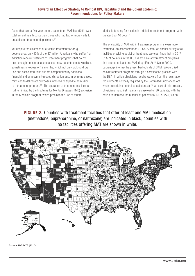found that over a five-year period, patients on MAT had 50% lower total annual health costs than those who had two or more visits to an addiction treatment department.<sup>20</sup>

Yet despite the existence of effective treatment for drug dependence, only 10% of the 27 million Americans who suffer from addiction receive treatment.<sup>22</sup> Treatment programs that do not have enough beds or space to accept new patients create waitlists, sometimes in excess of 12 months, which not only prolong drug use and associated risks but are compounded by additional financial and employment-related disruption and, in extreme cases, may lead to deliberate overdoses intended to expedite admission to a treatment program.<sup>23</sup> The operation of treatment facilities is further limited by the Institutes for Mental Diseases (IMD) exclusion in the Medicaid program, which prohibits the use of federal

Medicaid funding for residential addiction treatment programs with greater than 16 beds.<sup>24</sup>

The availability of MAT within treatment programs is even more restricted. An assessment of N-SSATS data, an annual survey of all facilities providing addiction treatment services, finds that in 2017 61% of counties in the U.S did not have any treatment programs that offered at least one MAT drug (Fig. 2).<sup>25</sup> Since 2000, buprenorphine may be prescribed outside of SAMHSA-certified opioid treatment programs through a certification process with the DEA, in which physicians receive waivers from the registration requirements normally required by the Controlled Substances Act when prescribing controlled substances.<sup>26</sup> As part of this process, physicians must first maintain a caseload of 30 patients, with the option to increase the number of patients to 100 or 275, via an

FIGURE 2. Counties with treatment facilities that offer at least one MAT medication (methadone, buprenorphine, or naltrexone) are indicated in black, counties with no facilities offering MAT are shown in white.



Source: N-SSATS (2017).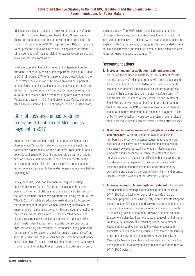additional certification procedure. However, in one study of more than 3,000 buprenorphine prescribers in the U.S., nearly onequarter prescribe buprenorphine to fewer than three patients per month.27 According to SAMHSA, approximately 40% of physicians do not prescribe buprenorphine at all,28 citing concerns about reimbursement, staff training, visit time, access to counseling, and availability of buprenorphine.<sup>29</sup>

In addition, uptake of addiction treatment is dependent on the affordability of care. Medicaid is an important funder of MAT and in 2016 reimbursed 24% of all buprenorphine prescriptions in the U.S.<sup>30</sup> While the expansion of Medicaid provided an important source of insurance for low-income adults, any changes to these policies risk creating significant barriers for people seeking care. Yet 38% of substance abuse treatment programs did not accept Medicaid as payment in 2017, and eleven state Medicaid programs place a lifetime limit on the use of buprenorphine.<sup>31</sup> Furthermore,

### 38% of substance abuse treatment programs did not accept Medicaid as payment in 2017.

buprenorphine prescriptions require prior authorization as part of some state Medicaid or private insurance company policies, policies that organizations like the AMA have urged state attorney generals to eliminate.32 Other insurance-related barriers include caps on dosages, lifetime limits on medicines or mental health services, or so-called 'fail-first' policies in which patients must first experience treatment failure under counseling regimens before beginning MAT.<sup>33</sup>

Finally, accessing addiction treatment will require creating specialized venues for care for certain populations. Pregnant women and women of childbearing age are at particular risk, with the rate of neonatal abstinence syndrome increasing by 300% from 1999 to 2013.34 While no addiction medication is FDA-approved for the treatment of pregnant women, combining methadone or buprenorphine maintenance therapy with specialized prenatal care may reduce the impact on infants.35 Incarcerated populations similarly require special considerations, with an estimated 65% of all inmates identified as having a substance use disorder, yet only 11% receiving any treatment.36 Methadone is only permitted for the use of detoxification and not for routine maintenance: $37$  as such, less than 0.6% of all prisons and jails offer either methadone or buprenorphine,<sup>38</sup> despite evidence that forced opioid withdrawal is both harmful to the health of prisoners and produces substantial

societal costs.<sup>39</sup> The WHO, which identifies methadone on its List of Essential Medicines, recommends access to methadone for all incarcerated persons.40 In addition, while incarcerated persons are eligible for Medicaid coverage, coverage is often suspended while a person is incarcerated and must be reinstated upon release in order to prevent gaps in access to treatment.<sup>41</sup>

#### Recommendations

#### 1. Increase funding for addiction treatment programs.

Increasing the number of substance abuse treatment facilities, and the capacity of existing programs, will require a sustained fiscal commitment from both federal and state governments. Maintain appropriated funding levels for important programs including the state grants under the *21st Century Cures Act* and SAMHSA's Substance Abuse Prevention and Treatment Block Grants, as well as state funding streams for treatment facilities. Remove the IMD exclusion to allow federal Medicaid funds to reimburse treatment in all residential programs. Pilots of MAT implementation in correctional systems have resulted in significant reductions in overdose-related deaths after release.<sup>42</sup>

#### 2. Maintain insurance coverage for people with substance

use disorders. Given the important role of Medicaid in reimbursing the cost of substance abuse treatment, ensure that federal legislative action on Medicaid maintains health insurance coverage for low-income adults. State Medicaid programs should cover the full range of treatment-related services, including inpatient detoxification, hospitalization, and long-term case management.<sup>43</sup> Ensure that private health insurance plans reimburse substance abuse treatment by conserving and enforcing the Mental Health Parity and Essential Health Benefits provisions of the *Affordable Care Act*.

3. Increase access to buprenorphine treatment. The gradual deregulation of buprenorphine prescribing, first in the initial DATA-2000 bill allowing for prescribing outside of opioid treatment programs, and subsequently in amendments lifting the patient caps to 275 patients and allowing nurse practitioners and physician assistants to receive waivers, has been instrumental in increasing access to treatment. However, patients continue to experience significant barriers to care, suggesting that these limits may be inadvertently restricting access to treatment. Reduce administrative barriers to the waiver process and administer continuing medical education to increase prescribing rates among waivered healthcare workers. Additionally, the Centers for Medicare and Medicaid Services can mandate that healthcare staff at federally qualified healthcare centers receive DATA-2000 waivers.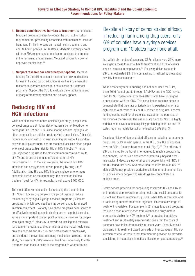- 4. Reduce administrative barriers to treatment. Amend state Medicaid program policies to reduce the prior authorization requirement for prescribing associated with medication-assisted treatment, lift lifetime caps on mental health treatment, and end 'fail-first' policies. In 36 states, Medicaid currently covers all three FDA recommended medication-assisted treatments; in the remaining states, amend Medicaid policies to cover all approved medications.44
- 5. Support research for new treatment options. Increase funding for the NIH to conduct research on new medications for use in treating opioid addiction as well as implementation research to increase access to, and success of, treatment programs. Support the CDC to evaluate the effectiveness and efficacy of treatment methods and delivery options.

# Reducing HIV and HCV infections

While not all those who abuse opioids inject drugs, people who do inject drugs are at higher risk of transmission of blood-borne pathogens like HIV and HCV, since sharing needles, syringes, or other materials is an efficient route of viral transmission. Other risk factors associated with drug use, including sex without a condom, sex with multiple partners, and transactional sex also place people who inject drugs at high risk for HIV or HCV infection.<sup>45</sup> In the U.S., injection drug use is the most common transmission route of HCV and is one of the most efficient routes of HIV transmission.46 ,47 In the last five years, the rate of new HCV infections has nearly tripled, driven primarily by drug use.<sup>48</sup> Additionally, rising HIV and HCV infections place an enormous economic burden on the community; the estimated lifetime treatment cost for HIV, for example, is well above \$400,000.

The most effective mechanism for reducing the transmission of HIV and HCV among people who inject drugs is to reduce the sharing of syringes. Syringe services programs (SSPs) are programs in which used needles may be exchanged for unused injection equipment. Not only have these programs been shown to be effective in reducing needle sharing and re-use, but they also serve as an important contact point with social services for people who inject drugs.<sup>49</sup> Most SSPs provide counseling and referrals for treatment programs and other mental and physical healthcare, provide condoms and HIV pre- and post-exposure prophylaxis, and distribute the overdose-reversing medication naloxone. In one study, new users of SSPs were over five times more likely to enter treatment than those outside of the programs.<sup>50</sup> Another found

Despite a history of demonstrated efficacy in reducing harm among drug users, only 6% of counties have a syringe services program and 10 states have none at all.

that within six months of accessing SSPs, clients were 25% more likely gain access to mental health treatment and 45% of clients saw an increase in employment.<sup>51</sup> For every dollar invested in SSPs, an estimated \$3−7 in cost savings is realized by preventing new HIV infections alone <sup>52</sup>

While historically federal funding has not been used for SSPs, since 2016 federal grants through SAMHSA and the CDC may be used for SSP operational expenses after states have undergone a consultation with the CDC. This consultation requires states to demonstrate that the state or jurisdiction is experiencing, or is at high risk of, outbreaks of HIV or HCV related to drug use. Federal funding can be used for all expenses except for the purchase of the syringes themselves. The use of state funds for SSPs is highly variable, with several states explicitly prohibiting their use and 16 states requiring legislative action to legalize SSPs (Fig. 3).

Despite a history of demonstrated efficacy in reducing harm among drug users, SSPs remain sparse. In the U.S., only 6% of counties have an SSP; 10 states have none at all (Fig. 3).<sup>53</sup> The efficacy of SSPs is limited by the travel time required to reach a program; by one analysis, use of SSPs decreases dramatically beyond a tenmile radius. Indeed, a study of all young people living with HCV in the U.S found that 80% lived more than ten miles from an SSP.<sup>54</sup> Mobile SSPs may provide a workable solution in rural communities or in cities where people who use drugs are concentrated in multiple areas.

Health service provision for people diagnosed with HIV and HCV is an important step toward improving health and social outcomes for current and former injection drug users. While HCV is treatable and curable using modern treatment regimens, insurance coverage of treatment is variable. For example, in 24 states Medicaid programs require a period of abstinence from alcohol and drugs before a person is eligible for HCV treatment,<sup>55</sup> a practice that delays treatment and is ultimately anachronistic given that the costs of treatment have fallen dramatically in recent years. Other Medicaid programs limit treatment based on grade of liver damage or HIV coinfection criteria, or require that treatment be provided by providers specializing in hepatology, infectious disease, or gastroenterology.<sup>56</sup>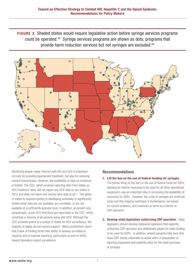FIGURE 3. Shaded states would require legislative action before syringe services programs could be operated.58 Syringe services programs are shown as dots; programs that provide harm reduction services but not syringes are excluded.59



Identifying people newly infected with HIV and HCV is important not only for providing appropriate treatment, but also for reducing onward transmission. However, the availability of data on incidence is limited. The CDC, which receives reporting data from states on HCV incidence rates, did not report any HCV data on ten states in 2015 and does not report any county-level data at all. $57$  The ability of states to respond quickly to developing outbreaks is significantly limited when data are not available, are unreliable, or are not available at a sufficiently granular level. In addition, at present only symptomatic, acute HCV infections are reportable to the CDC, which constitute a minority of all persons living with HCV. Although the CDC provides grants to a subset of states for HCV surveillance, the majority of states do not receive support. Many jurisdictions report that a lack of funding limits their ability to develop surveillance capacity and to improve reporting, particularly as part of shifts toward laboratory-based surveillance.

#### Recommendations

1. Lift the ban on the use of federal funding for syringes.

The partial lifting of the ban on the use of federal funds for SSPs, allowing for federal resources to be used for all other operational equipment, was an important step in increasing the availability of resources for SSPs. However, the costs of syringes are nontrivial costs and this ongoing restriction is burdensome, not based on current evidence, and continues to serve as a barrier to SSP operation.

2. Develop state legislation authorizing SSP operation. State legislators should develop statewide legislation that explicitly authorizes SSP operation and additionally allows for state funding to be used for SSPs. In addition, amend paraphernalia laws that leave SSP clients vulnerable to arrest when in possession of injecting equipment and explicitly allow for the retail purchase of syringes.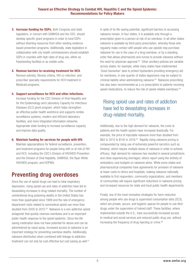- **3. Increase funding for SSPs.** Both Congress and state legislators, in concert with SAMHSA and the CDC, should develop specific grant programs in order to fund SSPs without diverting resources from other existing evidencebased prevention programs. Additionally, state legislators in collaboration with city health commissioners should establish SSPs in counties with high rates of drug use, either as freestanding facilities or as mobile units.
- 4. Remove barriers to receiving treatment for HCV. Remove sobriety, fibrosis criteria, HIV co-infection, and prescriber specialty requirements for HCV treatment in Medicaid programs.
- 5. Support surveillance for HCV and other infections.

Increase funding for the CDC Division of Viral Hepatitis and for the Epidemiology and Laboratory Capacity for Infectious Diseases (ELC) grant program, which helps strengthen an effective public health workforce and supports nimble surveillance systems, modern and efficient laboratory facilities, and more integrated information networks. Appropriate state funding to increase surveillance capacity and improve data quality.

6. Maintain funding for services for people with HIV. Maintain appropriations for federal surveillance, prevention, and treatment programs for people living with or at risk of HIV and HCV, including the CDC's Division of HIV/AIDS Prevention and the Division of Viral Hepatitis, SAMHSA, the Ryan White HIV/AIDS program, and HOPWA.

# Preventing drug overdoses

Since the use of opioid drugs can lead to fatal respiratory depression, rising opioid use and rates of addiction have led to devastating increases in drug-related mortality. The number of unintentional drug poisoning deaths in the United States has more than quadrupled since 1999 and the rate of emergency department visits related to nonmedical opioid use more than doubled from 2005 to 2015.60 Naloxone is a non-addictive opioid antagonist that quickly reverses overdoses and is an important public health response to the opioid epidemic. Since the lifesaving medication does not have potential for abuse and can be administered by nasal spray, increased access to naloxone is an important strategy for preventing overdose deaths. Additionally, naloxone distribution when combined with linkage to addiction treatment can not only be cost effective but cost saving as well.<sup>61</sup>

In spite of its life-saving potential, significant barriers to accessing naloxone remain. In four states, it is available only through a prescription given to a person at risk of an overdose. In all other states naloxone is available by third-party prescription, whereby those who regularly make contact with people who use opioids may purchase naloxone for use in the case of a drug overdose, or by a standing order that allows pharmacists and nurses to provide naloxone without the need for physician approval.<sup>62</sup> Other ancillary policies are variable across states; for example, while many states have implemented 'Good Samaritan' laws to protect bystanders providing emergency aid for overdoses, in one-quarter of states laypersons may be subject to criminal liability when administering naloxone.63 Naloxone prescribing has also been recommended as a co-prescription to patients receiving opioid medications, to reduce the risk of opioid-related overdoses.64

### Rising opioid use and rates of addiction have led to devastating increases in drug-related mortality.

Additionally, due to the high demand for naloxone, the costs to patients and the health system have increased drastically. For example, the price of injectable naloxone more than doubled from \$62 in 2012 to \$142 in 2016.<sup>65</sup> Rapidly rising naloxone pricing is compounded by rising use of extremely powerful narcotics such as fentanyl, which require multiple doses of naloxone in order to achieve efficacy. High demand for naloxone has resulted in several jurisdictions and cities experiencing shortages; others report using the entirety of ambulatory care budgets on naloxone alone. While some states and pharmaceutical companies have agreements for provision of naloxone at lower costs to clinics and hospitals, making naloxone nationally available to first responders, community organizations, and members of communities will require significant reductions in naloxone pricing and increased resources for state and local public health departments.

Finally, one of the most innovative strategies for harm reduction among people who use drugs is supervised consumption sites (SCS), which are private, secure, and hygienic spaces for people to use illicit drugs under the supervision of trained staff. These facilities, where implemented outside the U.S., have successfully increased access to medical and social services and reduced public drug use, without increasing the frequency of drug injecting or crime.<sup>66</sup>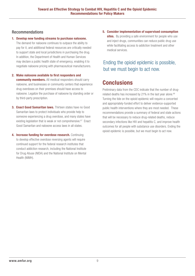#### Recommendations

#### 1. Develop new funding streams to purchase naloxone.

The demand for naloxone continues to outpace the ability to pay for it, and additional federal resources are critically needed to support state and local jurisdictions in purchasing the drug. In addition, the Department of Health and Human Services may declare a public health state of emergency, enabling it to negotiate naloxone pricing with pharmaceutical manufacturers.

#### 2. Make naloxone available to first responders and community members. All medical responders should carry

naloxone, and businesses or community centers that experience drug overdoses on their premises should have access to naloxone. Legalize the purchase of naloxone by standing order or by third-party prescription.

- 3. Enact Good Samaritan laws. Thirteen states have no Good Samaritan laws to protect individuals who provide help to someone experiencing a drug overdose, and many states have existing legislation that is weak or not comprehensive.<sup>67</sup> Enact Good Samaritan and naloxone access laws in all states.
- 4. Increase funding for overdose research. Continuing to develop effective overdose reversing agents will require continued support for the federal research institutes that conduct addiction research, including the National Institute for Drug Abuse (NIDA) and the National Institute on Mental Health (NIMH).

5. Consider implementation of supervised consumption sites. By providing a safe environment for people who use and inject drugs, communities can reduce public drug use while facilitating access to addiction treatment and other medical services.

### Ending the opioid epidemic is possible, but we must begin to act now.

# Conclusions

Preliminary data from the CDC indicate that the number of drugrelated deaths has increased by 21% in the last year alone.<sup>68</sup> Turning the tide on the opioid epidemic will require a concerted and appropriately-funded effort to deliver evidence-supported public health interventions where they are most needed. These recommendations provide a summary of federal and state actions that will be necessary to reduce drug-related deaths, reduce secondary infections like HIV and hepatitis C, and improve health outcomes for all people with substance use disorders. Ending the opioid epidemic is possible, but we must begin to act now.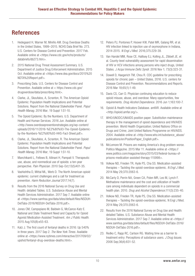# References

- 1. Hedegaard H, Warner M, Miniño AM. Drug Overdose Deaths in the United States, 1999–2015. NCHS Data Brief No. 273. U.S. Centers for Disease Control and Prevention. 2017 Feb. Available online at <https://www.cdc.gov/nchs/products/ databriefs/db273.htm>.
- 2. 2015 National Drug Threat Assessment Summary. U.S. Department of Justice Drug Enforcement Administration. 2015 Oct. Available online at <https://www.dea.gov/docs/2015%20 NDTA%20Report.pdf>.
- 3. Prescribing Data. U.S. Centers for Disease Control and Prevention. Available online at < https://www.cdc.gov/ drugoverdose/data/prescribing.html>.
- 4. Clarke, JL, Skoufalos, A, Scranton, R. The American Opioid Epidemic: Population Health Implications and Potential Solutions. Report from the National Stakeholder Panel. *Popul Health Manag.* 2016 Mar; 19 Suppl 1:S1-10.
- 5. The Opioid Epidemic: By the Numbers. U.S. Department of Health and Human Services. 2016 Jun. Available online at <http://www.overdosepreventionstrategies.org/wp-content/ uploads/2016/11/2016-%E2%80%93-The-Opioid-Epidemicby-the-Numbers-%E2%80%93-HHS-Fact-Sheet.pdf>.
- 6. Clarke, JL, Skoufalos, A, Scranton, R. The American Opioid Epidemic: Population Health Implications and Potential Solutions. Report from the National Stakeholder Panel. *Popul Health Manag.* 2016 Mar; 19 Suppl 1:S1-10.
- 7. Manchikanti L, Fellows B, Ailinani H, Pampati V. Therapeutic use, abuse, and nonmedical use of opioids: a ten-year perspective. *Pain Physician.* 2010 Sep-Oct;13(5)401-35.
- 8. Vashishtha D, Mittal ML, Werb D. The North American opioid epidemic: current challenges and a call for treatment as prevention. *Harm Reduction Journal* 2017;14(7).
- 9. Results from the 2016 National Survey on Drug Use and Health: detailed Tables. U.S. Substance Abuse and Mental Health Services Administration. 2017 Sep 7. Available online at <https://www.samhsa.gov/data/sites/default/files/NSDUH-DetTabs-2016/NSDUH-DetTabs-2016.pdf>.
- 10. Jones CM, Campopiano M, Baldwin G, McCance-Katz E. National and State Treatment Need and Capacity for Opioid Agonist Medication-Assisted Treatment. *Am J Public Health*. 2015 Aug;105(8):e55-63.
- 11. Katz J. The first count of fentanyl deaths in 2016: Up 540% in three years. 2017 Sep 2. *The New York Times*. Available online at <https://www.nytimes.com/interactive/2017/09/02/ upshot/fentanyl-drug-overdose-deaths.html>.
- 12. Peters PJ, Pontones P, Hoover KW, Patel MR, Galang RR, et al. HIV infection linked to injection use of oxymorphone in Indiana, 2014-2015. *N Engl J Med*. 2016;375:229-39.
- 13. Van Handel MM, Rose CE, Hallisey EJ, Kolling JL, Zibbell JE, et al. County-level vulnerability assessment for rapid dissemination of HIV or HCV infections among persons who inject drugs, United States. *J Acqui Immune Defic Syndr*. 2016 Nov 1; 73(3):323-31.
- 14. Dowell D, Haegerich TM, Chou R. CDC guideline for prescribing opioids for chronic pain – United States, 2016. U.S. centers for Disease Control and Prevention. Recommendations and Reports. 2016 Mar 18;65(1):1-49.
- 15. Davis CS, Carr D. Physician continuing education to reduce opioid misuse, abuse, and overdose: Many opportunities, few requirements. *Drug Alcohol Dependence*. 2016 Jun 1;163:100-7.
- 16. Opioid & Health Indicators Database. amfAR. Available online at <http://opioid.amfar.org/>.
- 17. WHO/UNODC/UNAIDS position paper. Substitution maintenance therapy in the management of opioid dependence and HIV/AIDS prevention. World Health Organization; United Nations Office on Drugs and Crime; Joint United Nations Programme on HIV/AIDS. 2004. Available online at <http://www.who.int/substance\_abuse/ publications/en/PositionPaper\_English.pdf>.
- 18. McLemore M. Prisons are making America's drug problem worse. Politico Magazine. 2015 Mar 11. Available online at <https:// www.politico.com/magazine/story/2015/03/federal-bureau-ofprisons-medication-assisted-therapy-115998>.
- 19. Volkow ND, Frieden TR, Hyde PS, Cha SS. Medication-assisted therapies – Tackling the opioid-overdose epidemic. *N Engl J Med*. 2014 May 29;370:2063-6.
- 20. McCarty D, Perrin NA, Green CA, Polen MR, Leo M, Lynch F. Methadone maintenance and the cost and utilization of health care among individuals dependent on opioids in a commercial health plan. 2010. *Drug and Alcohol Dependence*;111(3):235-40.
- 21. Volkow ND, Frieden TR, Hyde PS, Cha SS. Medication-assisted therapies – Tackling the opioid-overdose epidemic. N Engl J Med. 2014 May 29;370:2063-6.
- 22. Results from the 2016 National Survey on Drug Use and Health: detailed Tables. U.S. Substance Abuse and Mental Health Services Administration. 2017 Sep 7. Available online at <https:// www.samhsa.gov/data/sites/default/files/NSDUH-DetTabs-2016/ NSDUH-DetTabs-2016.pdf>.
- 23. Redko C, Rapp RC, Carlson RG. Waiting time as a barrier to treatment entry: Perceptions of substance users. *J Drug Issues*. 2006 Sep;36(4):831-52.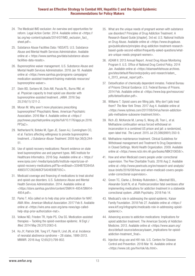- reform. Legal Action Center. 2014. Available online at <https:// lac.org/wp-content/uploads/2014/07/IMD\_exclusion\_fact\_ sheet.pdf>.
- 25. Substance Abuse Facilities Data / NSSATS. U.S. Substance Abuse and Mental Health Services Administration. Available online at < https://www.samhsa.gov/data/substance-abusefacilities-data-nssats>.
- 26. Buprenorphine waiver management. U.S. Substance Abuse and Mental Health Services Administration. 2018 Jan 18. Available online at <https://www.samhsa.gov/programs-campaigns/ medication-assisted-treatment/training-materials-resources/ buprenorphine-waiver>.
- 27. Stein BD, Sorbero M, Dick AW, Pacula RL, Burns RM, et al. Physician capacity to treat opioid use disorder with buprenorphine-assisted treatment. *JAMA*. 2016 Sep 20;316(11):1211-2.
- 28. Moran M. Why aren't more physicians prescribing buprenorphine? Phsychiatric News. American Psychiatric Association. 2016 Mar 4. Available online at <https:// psychnews.psychiatryonline.org/doi/full/10.1176/appi.pn.2016. PP3a2>.
- 29. Netherland N, Botsko M, Egan JE, Saxon AJ, Cunningham CO, et al. Factors affecting willingness to provide buprenorphine treatment. *J Substance Abuse Treatment.* 2009 Apr;36(3):244- 51.
- 24. The Medical MD exclusion: An overview and opportunities for<br>
term. Legal Action Center. 2014. Available online at chttps://<br>
teror... How the Medical MD exclusion for the Share enter the Medican Center. And the Medican 30. Use of opioid recovery medications: Recent evidence on state level buprenorphine use and payment types. IMS Institute for Healthcare Informatics. 2016 Sep. Available online at < https:// www.iqvia.com/-/media/iqvia/pdfs/institute-reports/use-ofopioid-recovery-medications.pdf?la=en&hash=3394B7ED845A 486E07C1282A68CF5A04E69EF05C>.
- 31. Medicaid coverage and financing of medications to treat alcohol and opioid use disorders. U.S. Substance Abuse and Mental Health Services Administration. 2014. Available online at <https://store.samhsa.gov/shin/content/SMA14-4854/SMA14- 4854.pdf>.
- 32. Parks T. AGs called on to help stop prior authorization for MAT. AMA Wire. *American Medical Association.* 2017 Feb 8. Available online at <https://wire.ama-assn.org/ama-news/ags-calledhelp-stop-prior-authorization-mat>.
- 33. Volkow ND, Frieden TR, Hyde PS, Cha SS. Medication-assisted therapies – Tackling the opioid-overdose epidemic. *N Engl J Med.* 2014 May 29;370:2063-6.
- 34. Ko JY, Patrick SW, Tong VT, Patel R, Lind JN, et al. Incidence of neonatal abstinence syndrome – 28 states, 1999-2013. MMWR. 2016 Aug 12;65(31):799-802.
- 35. What are the unique needs of pregnant women with substance use disorders? Principles of Drug Addiction Treatment: A Research-Based Guide [chapter]. 3rd ed. U.S. National Institute on Drug Abuse. Available online at <https://www.drugabuse. gov/publications/principles-drug-addiction-treatment-researchbased-guide-second-edition/frequently-asked-questions/whatare-unique-needs-pregnant-women>.
- 36. ADAM II: 2013 Annual Report. Arrest Drug Abuse Monitoring Program II. U.S. Office of National Drug Control Policy. 2014 Jan. Available online at <https://obamawhitehouse.archives. gov/sites/default/files/ondcp/policy-and-research/adam\_ ii 2013 annual report.pdf>.
- 37. Detoxification of chemically dependent inmates. Federal Bureau of Prisons Clinical Guidance. U.S. Federal Bureau of Prisons. 2014 Feb. Available online at <https://www.bop.gov/resources/ pdfs/detoxification.pdf>.
- 38. Williams T. Opioid users are filling jails. Why don't jails treat them? *The New York Times*. 2017 Aug 4. Available online at <https://www.nytimes.com/2017/08/04/us/heroin-addictionjails-methadone-suboxone-treatment.html>.
- 39. Rich JD, McKenzie M, Larney S, Wong JB, Tran L, et al. Methadone continuation versus forced withdrawal on incarceration in a combined US prison and jail: a randomized, open-label trial. *The Lancet*. 2015 Jul 25;386(9991):350-9.
- 40. Methadone maintenance treatment. Clinical Guidelines for Withdrawal management and Treatment fo Drug Dependence in Closed Settings. World Health Organization. 2009. Available online at <https://www.ncbi.nlm.nih.gov/books/NBK310658/>.
- 41. How and when Medicaid covers people under correctional supervision. The Pew Charitable Trusts. 2016 Aug 2. Available online at <http://www.pewtrusts.org/en/research-and-analysis/ issue-briefs/2016/08/how-and-when-medicaid-covers-peopleunder-correctional-supervision>.
- 42. Green TC, Clarke J, Brinkley-Rubinstein L, Marshall BDL, Alexander-Scott N, et al. Postincarceration fatal overdoses after implementing medications for addiction treatment in a statewide correctional system. JAMA Psychiatry. 2018 Feb 14.
- 43. Medicaid's role in addressing the opioid epidemic. Kaiser Family Foundation. 2018 Feb 27. Available online at <https:// www.kff.org/infographic/medicaids-role-in-addressing-opioidepidemic/>.
- 44. Advancing access to addiction medications: Implications for opioid addiction treatment. The American Society of Addiction Medicine. 2013. Available online at <https://www.asam.org/ docs/default-source/advocacy/aaam\_implications-for-opioidaddiction-treatment\_final>.
- 45. Injection drug use and HIV risk. U.S. Centers for Disease Control and Prevention. 2018 Mar 16. Available online at <https://www.cdc.gov/hiv/risk/idu.html>.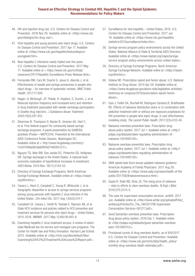- 46. HIV and injection drug use. U.S. Centers for Disease Control and Prevention. 2016 Nov 29. Available online at <https://www.cdc. gov/vitalsigns/hiv-drug-use/>.
- 47. Viral hepatitis and young persons who inject drugs. U.S. Centers for Disease Control and Prevention. 2017 Apr 17. Available online at <https://www.cdc.gov/hepatitis/featuredtopics/ youngpwid.htm>.
- 48. New hepatitis C infections nearly tripled over five years. U.S. Centers for Disease Control and Prevention. 2017 May 11. Available online at < https://www.cdc.gov/nchhstp/ newsroom/2017/Hepatitis-Surveillance-Press-Release.html>.
- 49. Fernandes RM, Cary M, Duarte G, Jesus G, Alarcão J, et al. Effectiveness of needle and syringe prorammes in people who inject drugs – An overview of systematic reviews. *BMC Public Health*. 2017;17:309.
- 50. Hagan, H, McGough, JP, Thiede, H, Hopkins, S, Duchin, J, et al. Reduced injection frequency and increased entry and retention in drug treatment associated with needle-exchange participation in Seattle drug injectors. *J Substance Abuse Treatment*. 2000;19(3):247-252.
- 51. Silverman B, Thompson D, Baxter B, Jimenez AD, Hart C, et al. First federal support for community based syringe exchange programs: A panel presentation by SAMHSA grantees (Poster—WEPE234). Presented at the International AIDS Conference Poster Session, Washington DC. Available online at < http://www.hivgateway.com/entry/ f1e5079f8ad9cfabbf8f4d2746095721/>.
- 52. Nguyne TQ, Weir BW, Des Jarlais DC, Pinkerton SD, Holtgrave DR. Syringe exchange in the United States: A national level economic evaluation of hypothetical increases in investment. *AIDS Behav*. 2014 Nov; 18(11):2144-55.
- 53. Directory of Syringe Exchange Programs. North American Syringe Exchange Network. Available online at <https://nasen. org/directory>.
- 54. Canary L, Hariri S, Campbell C, Young R, Whitcomb J, et al. Geographic disparities in access to syringe services programs among young persons with hepatitis C virus infection in the United States. *Clin Infect Dis*. 2017 Aug 1;65(3):514-7.
- 55. Campbell CA, Canary L, Smith N, Teshale E, Ryerson AB, et al. State HCV incidence and policies related to HCV preventive and treatment services for persons who inject drugs – United States, 2015-2016. MMWR. 2017 May 12;66(18):465-9.
- 56. Examining hepatitis C virus treatment access: A review of select state Medicaid fee-for-service and managed care programs. The Center for Health law and Policy Innovation. Harvard Law School. 2015. Available online at <http://nvhr.org/sites/default/files/ Examining%20HCV%20Treatment%20Access%20Report.pdf>.
- 57. Surveillance for viral hepatitis United States, 2015. U.S. Centers for Disease Control and Prevention. 2017 Jun 19. Available online at <https://www.cdc.gov/hepatitis/ statistics/2015surveillance/index.htm>.
- 58. Syringe service program policy environments across the United States. National Alliance of State & Territorial AIDS Directors. Available online at <https://www.nastad.org/maps/syringeservice-program-policy-environments-across-united-states>.
- 59. Directory of Syringe Exchange Programs. North American Syringe Exchange Network. Available online at <https://nasen. org/directory>.
- 60. Volkow ND. Prescription opioid and heroin abuse. U.S. National Institute on Drug Abuse. 2014 Apr 29. Available online at <https://www.drugabuse.gov/about-nida/legislative-activities/ testimony-to-congress/2016/prescription-opioid-heroinabuse>.
- 61. Uyei J, Fiellin DA, Buchelli M, Rodriguez-Santana R, Braithwaite RS. Effects of naloxone distribution alone or in combination with addiction treatment with or without pre-exposure prophylaxis for HIV prevention in people who inject drugs: A cost-effectiveness modeling study. *The Lancet Public Health*. 2017;2(3):e133-40.
- 62. Naloxone overdose prevention laws. Prescription drug abuse policy system. 2017 Jul 1. Available online at <http:// pdaps.org/datasets/laws-regulating-administration-ofnaloxone-1501695139>.
- 63. Naloxone overdose prevention laws. Prescription drug abuse policy system. 2017 Jul 1. Available online at <http:// pdaps.org/datasets/laws-regulating-administration-ofnaloxone-1501695139>.
- 64. AMA opioid task force issues updated naloxone guidance. American Academy of Family Physicians. 2017 Aug 28. Available online at <https://www.aafp.org/news/health-of-thepublic/20170828naloxoneresource.html>.
- 65. Gupta R, Shah ND, Ross JS. The rising price of naloxone – risks to efforts to stem overdose deaths. *N Engl J Med*. 2016;375:2213-5.
- 66. The case for supervised consumption services. amfAR. 2017 Jun. Available online at <http://www.amfar.org/uploadedFiles/\_ amfarorg/Articles/On\_The\_Hill/2017/IB-Supervised-Consumption-Services-061217.pdf>.
- 67. Good Samaritan overdose prevention laws. Prescription drug abuse policy system. 2016 Dec 1. Available online at <http://pdaps.org/datasets/good-samaritan-overdoselaws-1501695153>.
- 68. Provisional counts of drug overdose deaths, as of 8/6/2017. U.S. Centers for Disease Control and Prevention. Available online at <https://www.cdc.gov/nchs/data/health\_policy/ monthly-drug-overdose-death-estimates.pdf>.